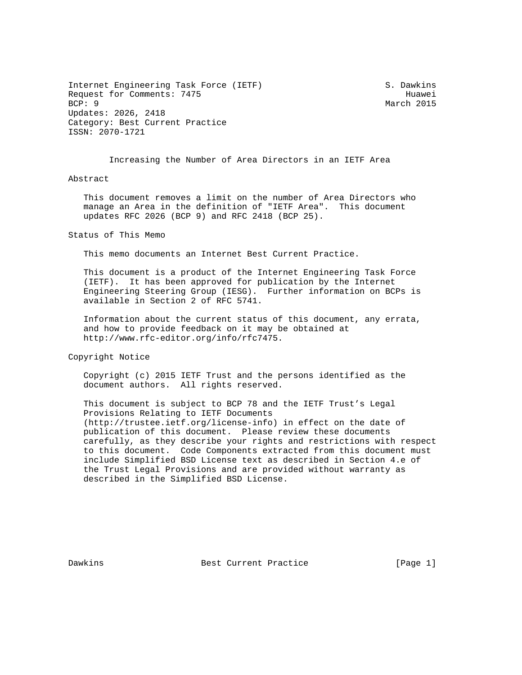Internet Engineering Task Force (IETF) S. Dawkins Request for Comments: 7475<br>BCP: 9 Huawei Updates: 2026, 2418 Category: Best Current Practice ISSN: 2070-1721

March 2015

Increasing the Number of Area Directors in an IETF Area

## Abstract

 This document removes a limit on the number of Area Directors who manage an Area in the definition of "IETF Area". This document updates RFC 2026 (BCP 9) and RFC 2418 (BCP 25).

Status of This Memo

This memo documents an Internet Best Current Practice.

 This document is a product of the Internet Engineering Task Force (IETF). It has been approved for publication by the Internet Engineering Steering Group (IESG). Further information on BCPs is available in Section 2 of RFC 5741.

 Information about the current status of this document, any errata, and how to provide feedback on it may be obtained at http://www.rfc-editor.org/info/rfc7475.

Copyright Notice

 Copyright (c) 2015 IETF Trust and the persons identified as the document authors. All rights reserved.

 This document is subject to BCP 78 and the IETF Trust's Legal Provisions Relating to IETF Documents (http://trustee.ietf.org/license-info) in effect on the date of publication of this document. Please review these documents carefully, as they describe your rights and restrictions with respect to this document. Code Components extracted from this document must include Simplified BSD License text as described in Section 4.e of the Trust Legal Provisions and are provided without warranty as described in the Simplified BSD License.

Dawkins **Best Current Practice** [Page 1]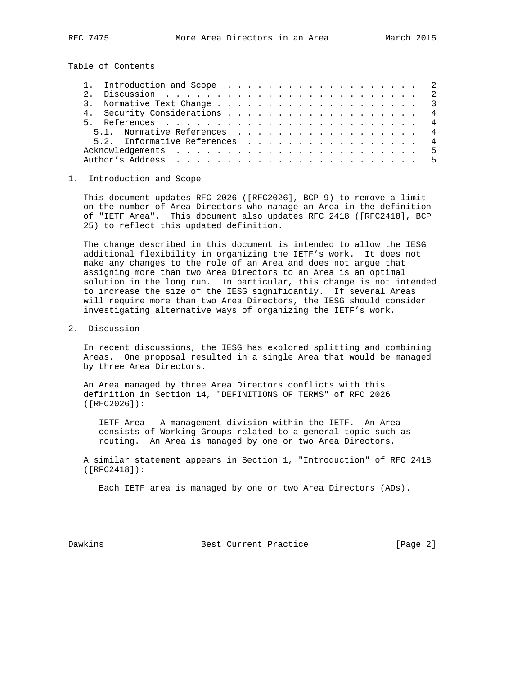Table of Contents

| 5.1. Normative References 4   |  |  |  |  |  |  |  |  |  |
|-------------------------------|--|--|--|--|--|--|--|--|--|
| 5.2. Informative References 4 |  |  |  |  |  |  |  |  |  |
|                               |  |  |  |  |  |  |  |  |  |
|                               |  |  |  |  |  |  |  |  |  |

## 1. Introduction and Scope

 This document updates RFC 2026 ([RFC2026], BCP 9) to remove a limit on the number of Area Directors who manage an Area in the definition of "IETF Area". This document also updates RFC 2418 ([RFC2418], BCP 25) to reflect this updated definition.

 The change described in this document is intended to allow the IESG additional flexibility in organizing the IETF's work. It does not make any changes to the role of an Area and does not argue that assigning more than two Area Directors to an Area is an optimal solution in the long run. In particular, this change is not intended to increase the size of the IESG significantly. If several Areas will require more than two Area Directors, the IESG should consider investigating alternative ways of organizing the IETF's work.

2. Discussion

 In recent discussions, the IESG has explored splitting and combining Areas. One proposal resulted in a single Area that would be managed by three Area Directors.

 An Area managed by three Area Directors conflicts with this definition in Section 14, "DEFINITIONS OF TERMS" of RFC 2026 ([RFC2026]):

 IETF Area - A management division within the IETF. An Area consists of Working Groups related to a general topic such as routing. An Area is managed by one or two Area Directors.

 A similar statement appears in Section 1, "Introduction" of RFC 2418 ([RFC2418]):

Each IETF area is managed by one or two Area Directors (ADs).

Dawkins **Best Current Practice** [Page 2]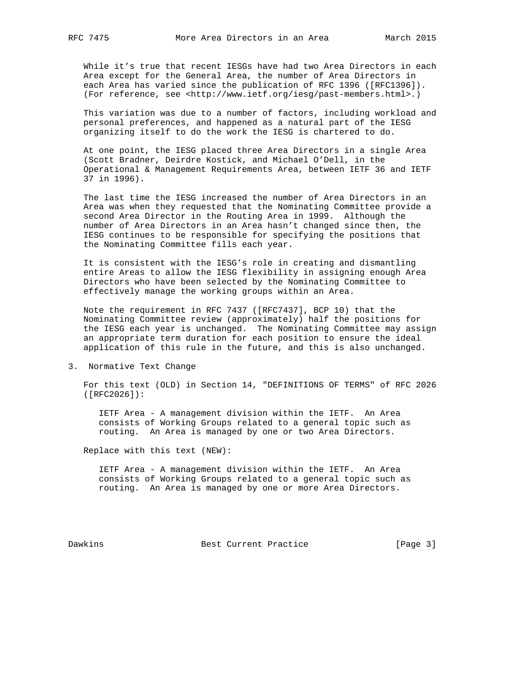While it's true that recent IESGs have had two Area Directors in each Area except for the General Area, the number of Area Directors in each Area has varied since the publication of RFC 1396 ([RFC1396]). (For reference, see <http://www.ietf.org/iesg/past-members.html>.)

 This variation was due to a number of factors, including workload and personal preferences, and happened as a natural part of the IESG organizing itself to do the work the IESG is chartered to do.

 At one point, the IESG placed three Area Directors in a single Area (Scott Bradner, Deirdre Kostick, and Michael O'Dell, in the Operational & Management Requirements Area, between IETF 36 and IETF 37 in 1996).

 The last time the IESG increased the number of Area Directors in an Area was when they requested that the Nominating Committee provide a second Area Director in the Routing Area in 1999. Although the number of Area Directors in an Area hasn't changed since then, the IESG continues to be responsible for specifying the positions that the Nominating Committee fills each year.

 It is consistent with the IESG's role in creating and dismantling entire Areas to allow the IESG flexibility in assigning enough Area Directors who have been selected by the Nominating Committee to effectively manage the working groups within an Area.

 Note the requirement in RFC 7437 ([RFC7437], BCP 10) that the Nominating Committee review (approximately) half the positions for the IESG each year is unchanged. The Nominating Committee may assign an appropriate term duration for each position to ensure the ideal application of this rule in the future, and this is also unchanged.

3. Normative Text Change

 For this text (OLD) in Section 14, "DEFINITIONS OF TERMS" of RFC 2026 ([RFC2026]):

 IETF Area - A management division within the IETF. An Area consists of Working Groups related to a general topic such as routing. An Area is managed by one or two Area Directors.

Replace with this text (NEW):

 IETF Area - A management division within the IETF. An Area consists of Working Groups related to a general topic such as routing. An Area is managed by one or more Area Directors.

Dawkins **Best Current Practice** [Page 3]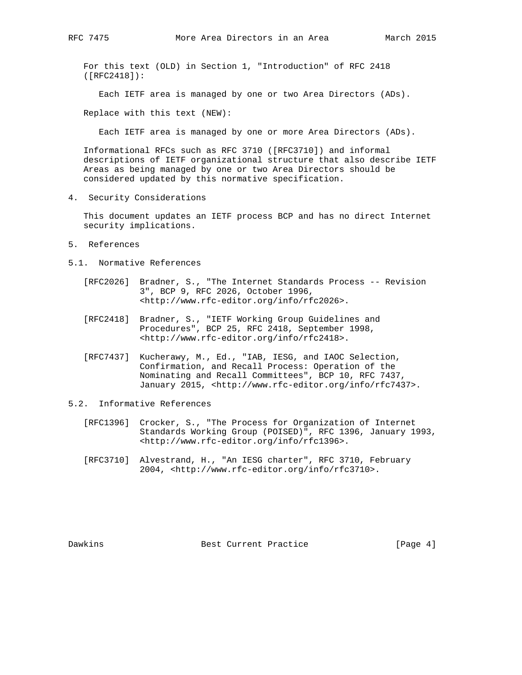For this text (OLD) in Section 1, "Introduction" of RFC 2418 ([RFC2418]):

Each IETF area is managed by one or two Area Directors (ADs).

Replace with this text (NEW):

Each IETF area is managed by one or more Area Directors (ADs).

 Informational RFCs such as RFC 3710 ([RFC3710]) and informal descriptions of IETF organizational structure that also describe IETF Areas as being managed by one or two Area Directors should be considered updated by this normative specification.

4. Security Considerations

 This document updates an IETF process BCP and has no direct Internet security implications.

- 5. References
- 5.1. Normative References
	- [RFC2026] Bradner, S., "The Internet Standards Process -- Revision 3", BCP 9, RFC 2026, October 1996, <http://www.rfc-editor.org/info/rfc2026>.
	- [RFC2418] Bradner, S., "IETF Working Group Guidelines and Procedures", BCP 25, RFC 2418, September 1998, <http://www.rfc-editor.org/info/rfc2418>.
	- [RFC7437] Kucherawy, M., Ed., "IAB, IESG, and IAOC Selection, Confirmation, and Recall Process: Operation of the Nominating and Recall Committees", BCP 10, RFC 7437, January 2015, <http://www.rfc-editor.org/info/rfc7437>.
- 5.2. Informative References
	- [RFC1396] Crocker, S., "The Process for Organization of Internet Standards Working Group (POISED)", RFC 1396, January 1993, <http://www.rfc-editor.org/info/rfc1396>.
	- [RFC3710] Alvestrand, H., "An IESG charter", RFC 3710, February 2004, <http://www.rfc-editor.org/info/rfc3710>.

Dawkins **Best Current Practice** [Page 4]